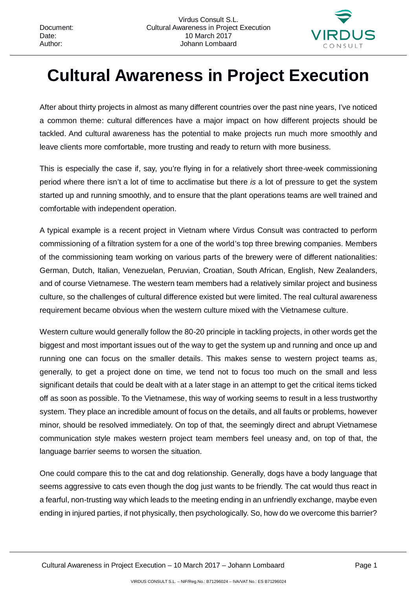

## **Cultural Awareness in Project Execution**

After about thirty projects in almost as many different countries over the past nine years, I've noticed a common theme: cultural differences have a major impact on how different projects should be tackled. And cultural awareness has the potential to make projects run much more smoothly and leave clients more comfortable, more trusting and ready to return with more business.

This is especially the case if, say, you're flying in for a relatively short three-week commissioning period where there isn't a lot of time to acclimatise but there *is* a lot of pressure to get the system started up and running smoothly, and to ensure that the plant operations teams are well trained and comfortable with independent operation.

A typical example is a recent project in Vietnam where Virdus Consult was contracted to perform commissioning of a filtration system for a one of the world's top three brewing companies. Members of the commissioning team working on various parts of the brewery were of different nationalities: German, Dutch, Italian, Venezuelan, Peruvian, Croatian, South African, English, New Zealanders, and of course Vietnamese. The western team members had a relatively similar project and business culture, so the challenges of cultural difference existed but were limited. The real cultural awareness requirement became obvious when the western culture mixed with the Vietnamese culture.

Western culture would generally follow the 80-20 principle in tackling projects, in other words get the biggest and most important issues out of the way to get the system up and running and once up and running one can focus on the smaller details. This makes sense to western project teams as, generally, to get a project done on time, we tend not to focus too much on the small and less significant details that could be dealt with at a later stage in an attempt to get the critical items ticked off as soon as possible. To the Vietnamese, this way of working seems to result in a less trustworthy system. They place an incredible amount of focus on the details, and all faults or problems, however minor, should be resolved immediately. On top of that, the seemingly direct and abrupt Vietnamese communication style makes western project team members feel uneasy and, on top of that, the language barrier seems to worsen the situation.

One could compare this to the cat and dog relationship. Generally, dogs have a body language that seems aggressive to cats even though the dog just wants to be friendly. The cat would thus react in a fearful, non-trusting way which leads to the meeting ending in an unfriendly exchange, maybe even ending in injured parties, if not physically, then psychologically. So, how do we overcome this barrier?